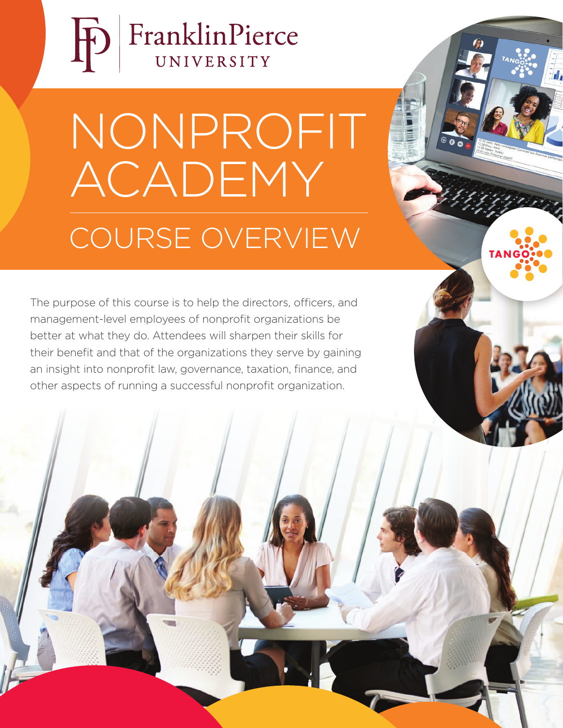

# NONPROFIT ACADEMY COURSE OVERVIEW

 $\overline{\mathbf{d}}$ 

The purpose of this course is to help the directors, officers, and management-level employees of nonprofit organizations be better at what they do. Attendees will sharpen their skills for their benefit and that of the organizations they serve by gaining an insight into nonprofit law, governance, taxation, finance, and other aspects of running a successful nonprofit organization.